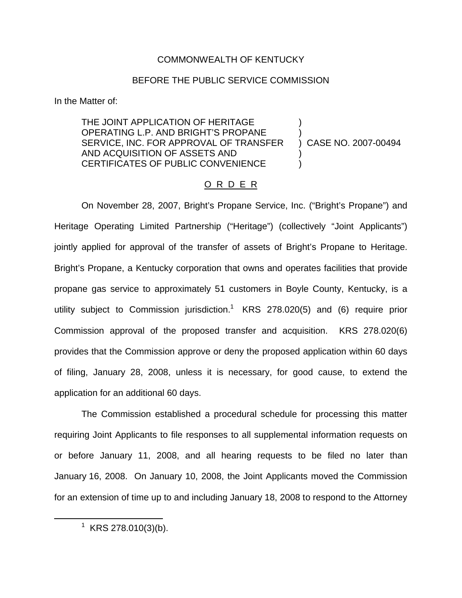## COMMONWEALTH OF KENTUCKY

## BEFORE THE PUBLIC SERVICE COMMISSION

In the Matter of:

THE JOINT APPLICATION OF HERITAGE ) OPERATING L.P. AND BRIGHT'S PROPANE SERVICE, INC. FOR APPROVAL OF TRANSFER ) CASE NO. 2007-00494 AND ACQUISITION OF ASSETS AND ) CERTIFICATES OF PUBLIC CONVENIENCE

## O R D E R

On November 28, 2007, Bright's Propane Service, Inc. ("Bright's Propane") and Heritage Operating Limited Partnership ("Heritage") (collectively "Joint Applicants") jointly applied for approval of the transfer of assets of Bright's Propane to Heritage. Bright's Propane, a Kentucky corporation that owns and operates facilities that provide propane gas service to approximately 51 customers in Boyle County, Kentucky, is a utility subject to Commission jurisdiction.<sup>1</sup> KRS 278.020(5) and (6) require prior Commission approval of the proposed transfer and acquisition. KRS 278.020(6) provides that the Commission approve or deny the proposed application within 60 days of filing, January 28, 2008, unless it is necessary, for good cause, to extend the application for an additional 60 days.

The Commission established a procedural schedule for processing this matter requiring Joint Applicants to file responses to all supplemental information requests on or before January 11, 2008, and all hearing requests to be filed no later than January 16, 2008. On January 10, 2008, the Joint Applicants moved the Commission for an extension of time up to and including January 18, 2008 to respond to the Attorney

 $^1$  KRS 278.010(3)(b).